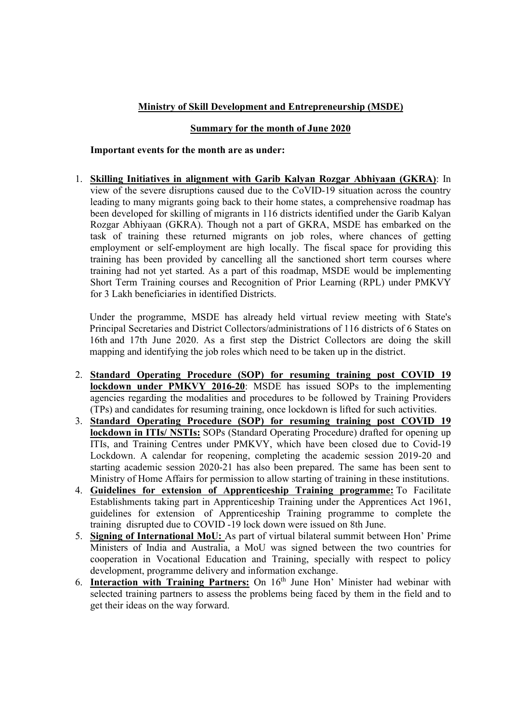## Ministry of Skill Development and Entrepreneurship (MSDE)

## Summary for the month of June 2020

## Important events for the month are as under:

1. Skilling Initiatives in alignment with Garib Kalyan Rozgar Abhiyaan (GKRA): In view of the severe disruptions caused due to the CoVID-19 situation across the country leading to many migrants going back to their home states, a comprehensive roadmap has been developed for skilling of migrants in 116 districts identified under the Garib Kalyan Rozgar Abhiyaan (GKRA). Though not a part of GKRA, MSDE has embarked on the task of training these returned migrants on job roles, where chances of getting employment or self-employment are high locally. The fiscal space for providing this training has been provided by cancelling all the sanctioned short term courses where training had not yet started. As a part of this roadmap, MSDE would be implementing Short Term Training courses and Recognition of Prior Learning (RPL) under PMKVY for 3 Lakh beneficiaries in identified Districts.

Under the programme, MSDE has already held virtual review meeting with State's Principal Secretaries and District Collectors/administrations of 116 districts of 6 States on 16th and 17th June 2020. As a first step the District Collectors are doing the skill mapping and identifying the job roles which need to be taken up in the district.

- 2. Standard Operating Procedure (SOP) for resuming training post COVID 19 lockdown under PMKVY 2016-20: MSDE has issued SOPs to the implementing agencies regarding the modalities and procedures to be followed by Training Providers (TPs) and candidates for resuming training, once lockdown is lifted for such activities.
- 3. Standard Operating Procedure (SOP) for resuming training post COVID 19 lockdown in ITIs/ NSTIs: SOPs (Standard Operating Procedure) drafted for opening up ITIs, and Training Centres under PMKVY, which have been closed due to Covid-19 Lockdown. A calendar for reopening, completing the academic session 2019-20 and starting academic session 2020-21 has also been prepared. The same has been sent to Ministry of Home Affairs for permission to allow starting of training in these institutions.
- 4. Guidelines for extension of Apprenticeship Training programme: To Facilitate Establishments taking part in Apprenticeship Training under the Apprentices Act 1961, guidelines for extension of Apprenticeship Training programme to complete the training disrupted due to COVID -19 lock down were issued on 8th June.
- 5. Signing of International MoU: As part of virtual bilateral summit between Hon' Prime Ministers of India and Australia, a MoU was signed between the two countries for cooperation in Vocational Education and Training, specially with respect to policy development, programme delivery and information exchange.
- 6. Interaction with Training Partners: On  $16<sup>th</sup>$  June Hon' Minister had webinar with selected training partners to assess the problems being faced by them in the field and to get their ideas on the way forward.